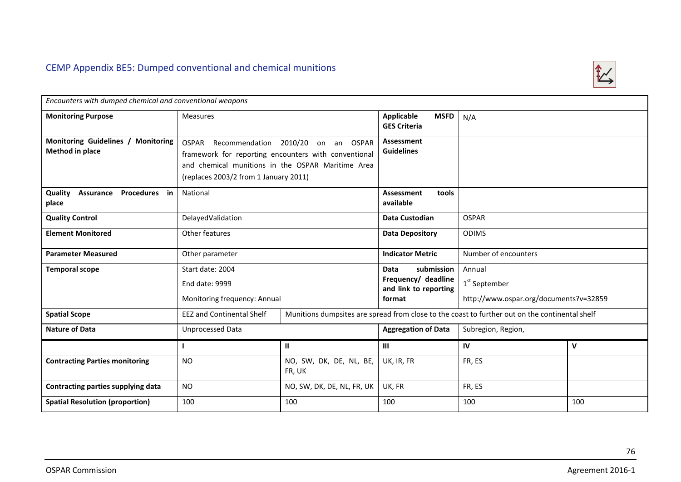

| Encounters with dumped chemical and conventional weapons     |                                                                                                                                                                                    |                                   |                                                         |                                        |     |  |  |  |  |
|--------------------------------------------------------------|------------------------------------------------------------------------------------------------------------------------------------------------------------------------------------|-----------------------------------|---------------------------------------------------------|----------------------------------------|-----|--|--|--|--|
|                                                              |                                                                                                                                                                                    |                                   |                                                         |                                        |     |  |  |  |  |
| <b>Monitoring Purpose</b>                                    | <b>Measures</b>                                                                                                                                                                    |                                   | <b>Applicable</b><br><b>MSFD</b><br><b>GES Criteria</b> | N/A                                    |     |  |  |  |  |
| Monitoring Guidelines / Monitoring<br><b>Method in place</b> | OSPAR Recommendation 2010/20<br>framework for reporting encounters with conventional<br>and chemical munitions in the OSPAR Maritime Area<br>(replaces 2003/2 from 1 January 2011) | on an<br>OSPAR                    | <b>Assessment</b><br><b>Guidelines</b>                  |                                        |     |  |  |  |  |
| Quality<br>Assurance Procedures in<br>place                  | National                                                                                                                                                                           |                                   | Assessment<br>tools<br>available                        |                                        |     |  |  |  |  |
| <b>Quality Control</b>                                       | DelayedValidation                                                                                                                                                                  |                                   | Data Custodian                                          | <b>OSPAR</b>                           |     |  |  |  |  |
| <b>Element Monitored</b>                                     | Other features                                                                                                                                                                     |                                   | <b>Data Depository</b>                                  | <b>ODIMS</b>                           |     |  |  |  |  |
| <b>Parameter Measured</b>                                    | Other parameter                                                                                                                                                                    |                                   | <b>Indicator Metric</b>                                 | Number of encounters                   |     |  |  |  |  |
| <b>Temporal scope</b>                                        | Start date: 2004                                                                                                                                                                   |                                   | submission<br>Data                                      | Annual                                 |     |  |  |  |  |
|                                                              | End date: 9999<br>Monitoring frequency: Annual                                                                                                                                     |                                   | Frequency/ deadline<br>and link to reporting            | $1st$ September                        |     |  |  |  |  |
|                                                              |                                                                                                                                                                                    |                                   | format                                                  | http://www.ospar.org/documents?v=32859 |     |  |  |  |  |
| <b>Spatial Scope</b>                                         | <b>EEZ and Continental Shelf</b><br>Munitions dumpsites are spread from close to the coast to further out on the continental shelf                                                 |                                   |                                                         |                                        |     |  |  |  |  |
| <b>Nature of Data</b>                                        | Unprocessed Data                                                                                                                                                                   |                                   | <b>Aggregation of Data</b>                              | Subregion, Region,                     |     |  |  |  |  |
|                                                              |                                                                                                                                                                                    | $\mathbf{H}$                      | Ш                                                       | IV                                     | V   |  |  |  |  |
| <b>Contracting Parties monitoring</b>                        | <b>NO</b>                                                                                                                                                                          | NO, SW, DK, DE, NL, BE,<br>FR, UK | UK, IR, FR                                              | FR, ES                                 |     |  |  |  |  |
| Contracting parties supplying data                           | <b>NO</b>                                                                                                                                                                          | NO, SW, DK, DE, NL, FR, UK        | UK, FR                                                  | FR, ES                                 |     |  |  |  |  |
| <b>Spatial Resolution (proportion)</b>                       | 100                                                                                                                                                                                | 100                               | 100                                                     | 100                                    | 100 |  |  |  |  |